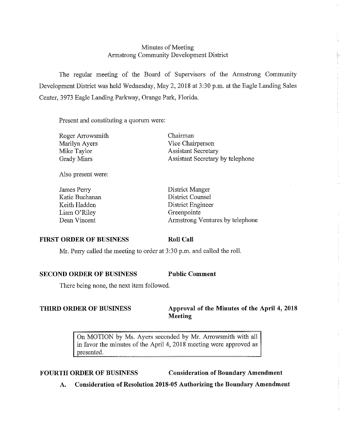# Minutes of Meeting Armstrong Community Development District

The regular meeting of the Board of Supervisors of the Armstrong Community Development District was held Wednesday, May 2, 2018 at 3:30 p.m. at the Eagle Landing Sales Center, 3973 Eagle Landing Parkway, Orange Park, Florida.

Present and constituting a quorum were:

| Roger Arrowsmith   |
|--------------------|
| Marilyn Ayers      |
| Mike Taylor        |
| <b>Grady Miars</b> |

Chairman Vice Chairperson Assistant Secretary Assistant Secretary by telephone

Also present were:

James Perry Katie Buchanan Keith Hadden Liam O'Riley Dean Vincent

District Manger District Counsel District Engineer Greenpointe Armstrong Ventures by telephone

# **FIRST ORDER OF BUSINESS**

#### **Roll Call**

Mr. Perry called the meeting to order at 3 :30 p.m. and called the roll.

**SECOND ORDER OF BUSINESS Public Comment** 

There being none, the next item followed.

# **THIRD ORDER OF BUSINESS Approval of the Minutes of the April 4, 2018 Meeting**

On MOTION by Ms. Ayers seconded by Mr. Arrowsmith with all in favor the minutes of the April 4, 2018 meeting were approved as presented.

FOURTH ORDER OF BUSINESS Consideration of Boundary Amendment

**A. Consideration of Resolution 2018-05 Authorizing the Boundary Amendment**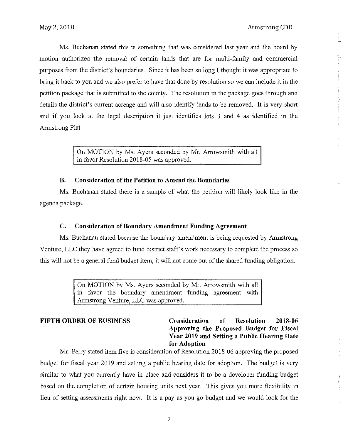Ms. Buchanan stated this is something that was considered last year and the board by motion authorized the removal of certain lands that are for multi-family and commercial purposes from the district's boundaries. Since it has been so long I thought it was appropriate to bring it back to you and we also prefer to have that done by resolution so we can include it in the petition package that is submitted to the county. The resolution in the package goes through and details the district's current acreage and will also identify lands to be removed. It is very short and if you look at the legal description it just identifies lots 3 and 4 as identified in the Armstrong Plat.

> On MOTION by Ms. Ayers seconded by Mr. Arrowsmith with all in favor Resolution 2018-05 was approved.

### **B. Consideration of the Petition to Amend the Boundaries**

Ms. Buchanan stated there is a sample of what the petition will likely look like in the agenda package.

### **C. Consideration of Boundary Amendment Funding Agreement**

Ms. Buchanan stated because the boundary amendment is being requested by Armstrong Venture, LLC they have agreed to fund district staff's work necessary to complete the process so this will not be a general fund budget item, it will not come out of the shared funding obligation.

> On MOTION by Ms. Ayers seconded by Mr. Arrowsmith with all in favor the boundary amendment funding agreement with Armstrong Venture, LLC was approved.

# **FIFTH ORDER OF BUSINESS Consideration of Resolution 2018-06 Approving the Proposed Budget for Fiscal Year 2019 and Setting a Public Hearing Date for Adoption**

Mr. Perry stated item five is consideration of Resolution 2018-06 approving the proposed budget for fiscal year 2019 and setting a public hearing date for adoption. The budget is very similar to what you currently have in place and considers it to be a developer funding budget based on the completion of certain housing units next year. This gives you more flexibility in lieu of setting assessments right now. It is a pay as you go budget and we would look for the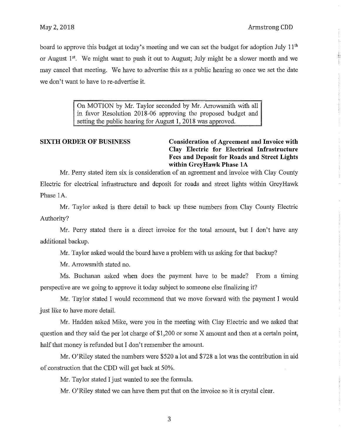board to approve this budget at today's meeting and we can set the budget for adoption July 11<sup>th</sup> or August 1<sup>st</sup>. We might want to push it out to August; July might be a slower month and we may cancel that meeting. We have to advertise this as a public hearing so once we set the date we don't want to have to re-advertise it.

> On MOTION by Mr. Taylor seconded by Mr. Arrowsmith with all in favor Resolution 2018-06 approving the proposed budget and setting the public hearing for August 1, 2018 was approved.

**SIXTH ORDER OF BUSINESS Consideration of Agreement and Invoice with Clay Electric for Electrical Infrastructure Fees and Deposit for Roads and Street Lights within GreyHawk Phase lA** 

Mr. Perry stated item six is consideration of an agreement and invoice with Clay County Electric for electrical infrastructure and deposit for roads and street lights within Grey Hawk Phase 1A

Mr. Taylor asked is there detail to back up these numbers from Clay County Electric Authority?

Mr. Perry stated there is a direct invoice for the total amount, but I don't have any additional backup.

Mr. Taylor asked would the board have a problem with us asking for that backup?

Mr. Arrowsmith stated no.

Ms. Buchanan asked when does the payment have to be made? From a timing perspective are we going to approve it today subject to someone else finalizing it?

Mr. Taylor stated I would recommend that we move forward with the payment I would just like to have more detail.

Mr. Hadden asked Mike, were you in the meeting with Clay Electric and we asked that question and they said the per lot charge of \$1,200 or some X amount and then at a certain point, half that money is refunded but I don't remember the amount.

Mr. O'Riley stated the numbers were \$520 a lot and \$728 a lot was the contribution in aid of construction that the CDD will get back at 50%.

Mr. Taylor stated I just wanted to see the formula.

Mr. O'Riley stated we can have them put that on the invoice so it is crystal clear.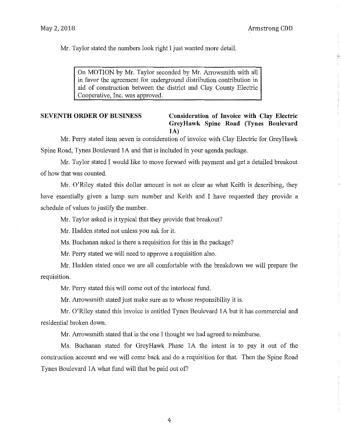Mr. Taylor stated the numbers look right I just wanted more detail.

On MOTION by Mr. Taylor seconded by Mr. Arrowsmith with all in favor the agreement for underground distribution contribution in aid of construction between the district and Clay County Electric Cooperative, Inc. was approved.

# **SEVENTH ORDER OF BUSINESS Consideration of Invoice with Clay Electric GreyHawk Spine Road (Tynes Boulevard lA)**

Mr. Perry stated item seven is consideration of invoice with Clay Electric for Grey Hawk Spine Road, Tynes Boulevard lA and that is included in your agenda package.

Mr. Taylor stated I would like to move forward with payment and get a detailed breakout of how that was counted.

Mr. O'Riley stated this dollar amount is not as clear as what Keith is describing, they have essentially given a lump sum number and Keith and I have requested they provide a schedule of values to justify the number.

Mr. Taylor asked is it typical that they provide that breakout?

Mr. Hadden stated not unless you ask for it.

Ms. Buchanan asked is there a requisition for this in the package?

Mr. Perry stated we will need to approve a requisition also.

Mr. Hadden stated once we are all comfortable with the breakdown we will prepare the requisition.

Mr. Perry stated this will come out of the interlocal fund.

Mr. Arrowsmith stated just malce sure as to whose responsibility it is.

Mr. O'Riley stated this invoice is entitled Tynes Boulevard lA but it has commercial and residential broken down.

Mr. Arrowsmith stated that is the one I thought we had agreed to reimburse.

Ms. Buchanan stated for GreyHawk Phase lA the intent is to pay it out of the construction account and we will come back and do a requisition for that. Then the Spine Road Tynes Boulevard lA what fund will that be paid out of?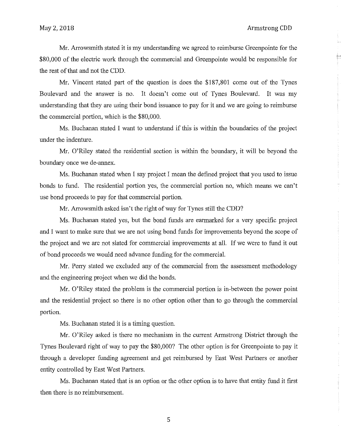Mr. Arrowsmith stated it is my understanding we agreed to reimburse Greenpointe for the \$80,000 of the electric work through the commercial and Greenpointe would be responsible for the rest of that and not the CDD.

Mr. Vincent stated part of the question is does the \$187,801 come out of the Tynes Boulevard and the answer is no. It doesn't come out of Tynes Boulevard. It was my understanding that they are using their bond issuance to pay for it and we are going to reimburse the commercial portion, which is the \$80,000.

Ms. Buchanan stated I want to understand if this is within the boundaries of the project under the indenture.

Mr. O'Riley stated the residential section is within the boundary, it will be beyond the boundary once we de-annex.

Ms. Buchanan stated when I say project I mean the defined project that you used to issue bonds to fund. The residential portion yes, the commercial portion no, which means we can't use bond proceeds to pay for that commercial portion.

Mr. Arrowsmith asked isn't the right of way for Tynes still the CDD?

Ms. Buchanan stated yes, but the bond funds are earmarked for a very specific project and I want to make sure that we are not using bond funds for improvements beyond the scope of the project and we are not slated for commercial improvements at all. If we were to fund it out of bond proceeds we would need advance funding for the commercial.

Mr. Perry stated we excluded any of the commercial from the assessment methodology and the engineering project when we did the bonds.

Mr. O'Riley stated the problem is the commercial portion is in-between the power point and the residential project so there is no other option other than to go through the commercial portion.

Ms. Buchanan stated it is a timing question.

Mr. O'Riley asked is there no mechanism in the current Armstrong District through the Tynes Boulevard right of way to pay the \$80,000? The other option is for Greenpointe to pay it through a developer funding agreement and get reimbursed by East West Partners or another entity controlled by East West Partners.

Ms. Buchanan stated that is an option or the other option is to have that entity fund it first then there is no reimbursement.

5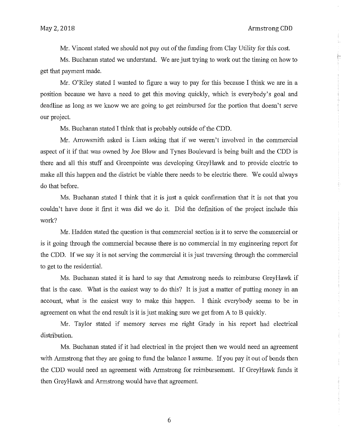Mr. Vincent stated we should not pay out of the funding from Clay Utility for this cost.

Ms. Buchanan stated we understand. We are just trying to work out the timing on how to get that payment made.

Mr. O'Riley stated I wanted to figure a way to pay for this because I think we are in a position because we have a need to get this moving quickly, which is everybody's goal and deadline as long as we know we are going to get reimbursed for the portion that doesn't serve our project.

Ms. Buchanan stated I think that is probably outside of the CDD.

Mr. Arrowsmith asked is Liam asking that if we weren't involved in the commercial aspect of it if that was owned by Joe Blow and Tynes Boulevard is being built and the CDD is there and all this stuff and Greenpointe was developing GreyHawk and to provide electric to make all this happen and the district be viable there needs to be electric there. We could always do that before.

Ms. Buchanan stated I think that it is just a quick confirmation that it is not that you couldn't have done it first it was did we do it. Did the definition of the project include this work?

Mr. Hadden stated the question is that commercial section is it to serve the commercial or is it going through the commercial because there is no commercial in my engineering report for the CDD. If we say it is not serving the commercial it is just traversing through the commercial to get to the residential.

Ms. Buchanan stated it is hard to say that Armstrong needs to reimburse Grey Hawk if that is the case. What is the easiest way to do this? It is just a matter of putting money in an account, what is the easiest way to make this happen. I think everybody seems to be in agreement on what the end result is it is just making sure we get from A to B quickly.

Mr. Taylor stated if memory serves me right Grady in his report had electrical distribution.

Ms. Buchanan stated if it had electrical in the project then we would need an agreement with Armstrong that they are going to fund the balance I assume. If you pay it out of bonds then the CDD would need an agreement with Armstrong for reimbursement. If Grey Hawk funds it then Grey Hawk and Armstrong would have that agreement.

6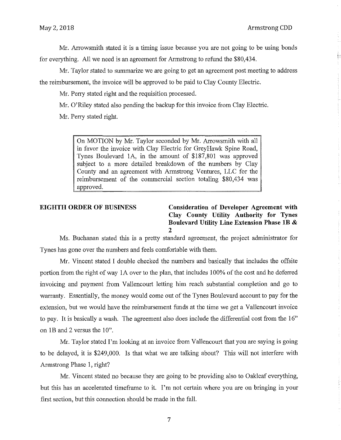Mr. Arrowsmith stated it is a timing issue because you are not going to be using bonds for everything. All we need is an agreement for Armstrong to refund the \$80,434.

Mr. Taylor stated to summarize we are going to get an agreement post meeting to address the reimbursement, the invoice will be approved to be paid to Clay County Electric.

Mr. Perry stated right and the requisition processed.

Mr. O'Riley stated also pending the backup for this invoice from Clay Electric.

Mr. Perry stated right.

On MOTION by Mr. Taylor seconded by Mr. Arrowsmith with all in favor the invoice with Clay Electric for Grey Hawk Spine Road, Tynes Boulevard lA, in the amount of \$187,801 was approved subject to a more detailed breakdown of the numbers by Clay County and an agreement with Armstrong Ventures, LLC for the reimbursement of the commercial section totaling \$80,434 was approved.

**EIGHTH ORDER OF BUSINESS Consideration of Developer Agreement with Clay County Utility Authority for Tynes Boulevard Utility Line Extension Phase lB** & **2** 

Ms. Buchanan stated this is a pretty standard agreement, the project administrator for Tynes has gone over the numbers and feels comfortable with them.

Mr. Vincent stated I double checked the numbers and basically that includes the offsite portion from the right of way lA over to the plan, that includes 100% of the cost and he deferred invoicing and payment from Vallencourt letting him reach substantial completion and go to warranty. Essentially, the money would come out of the Tynes Boulevard account to pay for the extension, but we would have the reimbursement funds at the time we get a Vallencourt invoice to pay. It is basically a wash. The agreement also does include the differential cost from the 16" on 1B and 2 versus the 10".

Mr. Taylor stated I'm looking at an invoice from Vallencourt that you are saying is going to be delayed, it is \$249,000. Is that what we are talking about? This will not interfere with Armstrong Phase 1, right?

Mr. Vincent stated no because they are going to be providing also to Oakleaf everything, but this has an accelerated timeframe to it. I'm not certain where you are on bringing in your first section, but this connection should be made in the fall.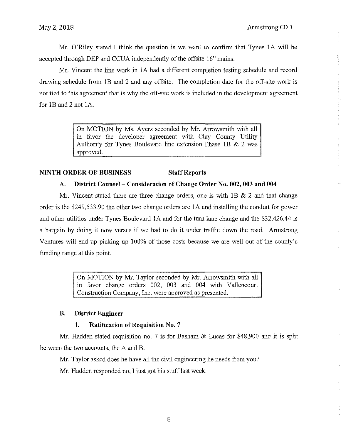Mr. O'Riley stated I think the question is we want to confirm that Tynes IA will be accepted through DEP and CCUA independently of the offsite 16" mains.

Mr. Vincent the line work in IA had a different completion testing schedule and record drawing schedule from IB and 2 and any offsite. The completion date for the off-site work is not tied to this agreement that is why the off-site work is included in the development agreement for lB and 2 not IA.

> On MOTION by Ms. Ayers seconded by Mr. Arrowsmith with all in favor the developer agreement with Clay County Utility Authority for Tynes Boulevard line extension Phase 1B  $& 2$  was approved.

# **NINTH ORDER OF BUSINESS Staff Reports**

## **A. District Counsel- Consideration of Change Order No. 002, 003 and 004**

Mr. Vincent stated there are three change orders, one is with  $1B \& 2$  and that change order is the \$249,533.90 the other two change orders are IA and installing the conduit for power and other utilities under Tynes Boulevard IA and for the turn lane change and the \$32,426.44 is a bargain by doing it now versus if we had to do it under traffic down the road. Armstrong Ventures will end up picking up 100% of those costs because we are well out of the county's funding range at this point.

> On MOTION by Mr. Taylor seconded by Mr. Arrowsmith with all in favor change orders 002, 003 and 004 with Vallencourt Construction Company, Inc. were approved as presented.

### **B. District Engineer**

### **1. Ratification of Requisition No. 7**

Mr. Hadden stated requisition no. 7 is for Basham & Lucas for \$48,900 and it is split between the two accounts, the A and B.

Mr. Taylor asked does he have all the civil engineering he needs from you?

Mr. Hadden responded no, I just got his stuff last week.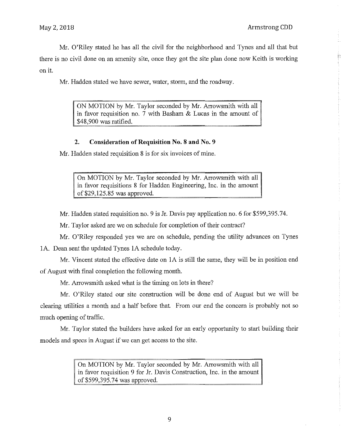Mr. O'Riley stated he has all the civil for the neighborhood and Tynes and all that but there is no civil done on an amenity site, once they got the site plan done now Keith is working on it.

Mr. Hadden stated we have sewer, water, storm, and the roadway.

ON MOTION by Mr. Taylor seconded by Mr. Arrowsmith with all in favor requisition no. 7 with Basham & Lucas in the amount of \$48,900 was ratified.

# **2. Consideration of Requisition** No. 8 **and No. 9**

Mr. Hadden stated requisition 8 is for six invoices of mine.

On MOTION by Mr. Taylor seconded by Mr. Arrowsmith with all in favor requisitions 8 for Hadden Engineering, Inc. in the amount of \$29,125.85 was approved.

Mr. Hadden stated requisition no. 9 is Jr. Davis pay application no. 6 for \$599,395.74.

Mr. Taylor asked are we on schedule for completion of their contract?

Mr. O'Riley responded yes we are on schedule, pending the utility advances on Tynes

IA. Dean sent the updated Tynes IA schedule today.

Mr. Vincent stated the effective date on IA is still the same, they will be in position end of August with final completion the following month.

Mr. Arrowsmith asked what is the timing on lots in there?

Mr. O'Riley stated our site construction will be done end of August but we will be clearing utilities a month and a half before that. From our end the concern is probably not so much opening of traffic.

Mr. Taylor stated the builders have asked for an early opportunity to start building their models and specs in August if we can get access to the site.

> On MOTION by Mr. Taylor seconded by Mr. Arrowsmith with all in favor requisition 9 for Jr. Davis Construction, Inc. in the amount of \$599,395.74 was approved.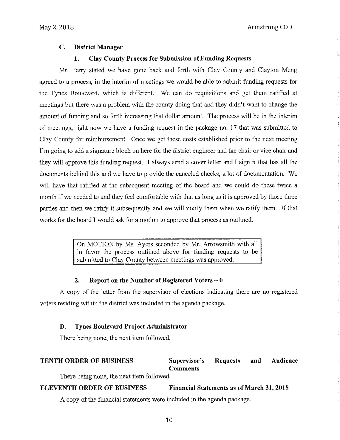# **C. District Manager**

### **1. Clay County Process for Submission of Funding Requests**

Mr. Perry stated we have gone back and forth with Clay County and Clayton Meng agreed to a process, in the interim of meetings we would be able to submit funding requests for the Tynes Boulevard, which is different. We can do requisitions and get them ratified at meetings but there was a problem with the county doing that and they didn't want to change the amount of funding and so forth increasing that dollar amount. The process will be in the interim of meetings, right now we have a funding request in the package no. 17 that was submitted to Clay County for reimbursement. Once we get these costs established prior to the next meeting I'm going to add a signature block on here for the district engineer and the chair or vice chair and they will approve this funding request. I always send a cover letter and I sign it that has all the documents behind this and we have to provide the canceled checks, a lot of documentation. We will have that ratified at the subsequent meeting of the board and we could do these twice a month if we needed to and they feel comfortable with that as long as it is approved by those three parties and then we ratify it subsequently and we will notify them when we ratify them. If that works for the board I would ask for a motion to approve that process as outlined.

> On MOTION by Ms. Ayers seconded by Mr. Arrowsmith with all in favor the process outlined above for funding requests to be submitted to Clay County between meetings was approved.

#### **2. Report on the Number of Registered Voters - 0**

A copy of the letter from the supervisor of elections indicating there are no registered voters residing within the district was included in the agenda package.

#### **D. Tynes Boulevard Project Administrator**

There being none, the next item followed.

#### **TENTH ORDER OF BUSINESS** Supervisor's Requests **Comments and Audience**

There being none, the next item followed.

## **ELEVENTH ORDER OF BUSINESS Financial Statements as of March 31, 2018**

A copy of the financial statements were included in the agenda package.